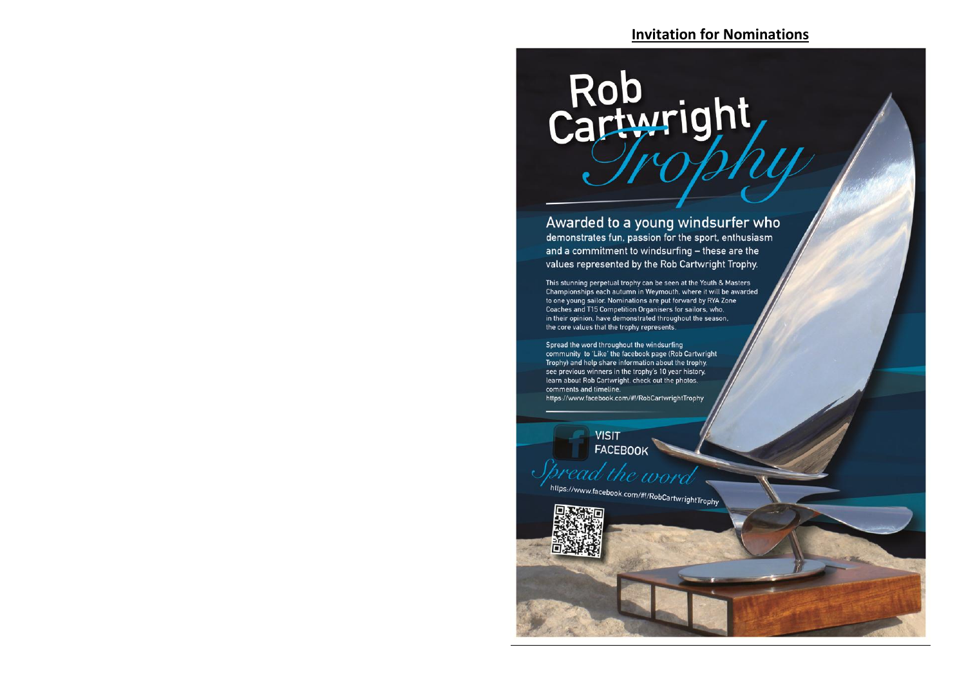## **Invitation for Nominations**

## Rob<br>Cartwright

Awarded to a young windsurfer who demonstrates fun, passion for the sport, enthusiasm and a commitment to windsurfing - these are the values represented by the Rob Cartwright Trophy.

This stunning perpetual trophy can be seen at the Youth & Masters Championships each autumn in Weymouth, where it will be awarded to one young sailor. Nominations are put forward by RYA Zone Coaches and T15 Competition Organisers for sailors, who, in their opinion, have demonstrated throughout the season, the core values that the trophy represents.

Spread the word throughout the windsurfing community to 'Like' the facebook page (Rob Cartwright Trophy) and help share information about the trophy. see previous winners in the trophy's 10 year history. learn about Rob Cartwright, check out the photos, comments and timeline. https://www.facebook.com/#!/RobCartwrightTrophy

> **VISIT** FACEBOOK

https://www.facebook.com/#!/RobCartwrightTrophy